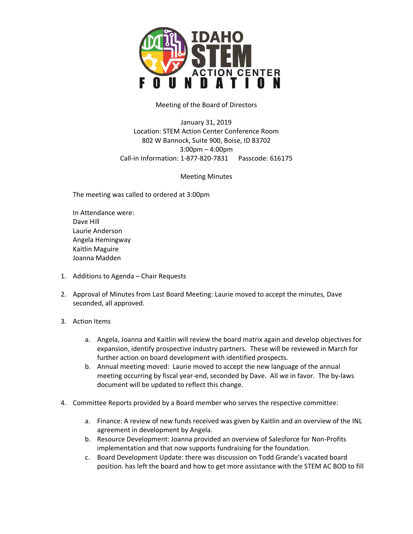

## Meeting of the Board of Directors

January 31, 2019 Location: STEM Action Center Conference Room 802 W Bannock, Suite 900, Boise, ID 83702 3:00pm – 4:00pm Call-in Information: 1-877-820-7831 Passcode: 616175

Meeting Minutes

The meeting was called to ordered at 3:00pm

In Attendance were: Dave Hill Laurie Anderson Angela Hemingway Kaitlin Maguire Joanna Madden

- 1. Additions to Agenda Chair Requests
- 2. Approval of Minutes from Last Board Meeting: Laurie moved to accept the minutes, Dave seconded, all approved.

## 3. Action Items

- a. Angela, Joanna and Kaitlin will review the board matrix again and develop objectives for expansion, identify prospective industry partners. These will be reviewed in March for further action on board development with identified prospects.
- b. Annual meeting moved: Laurie moved to accept the new language of the annual meeting occurring by fiscal year-end, seconded by Dave. All we in favor. The by-laws document will be updated to reflect this change.
- 4. Committee Reports provided by a Board member who serves the respective committee:
	- a. Finance: A review of new funds received was given by Kaitlin and an overview of the INL agreement in development by Angela.
	- b. Resource Development: Joanna provided an overview of Salesforce for Non-Profits implementation and that now supports fundraising for the foundation.
	- c. Board Development Update: there was discussion on Todd Grande's vacated board position. has left the board and how to get more assistance with the STEM AC BOD to fill